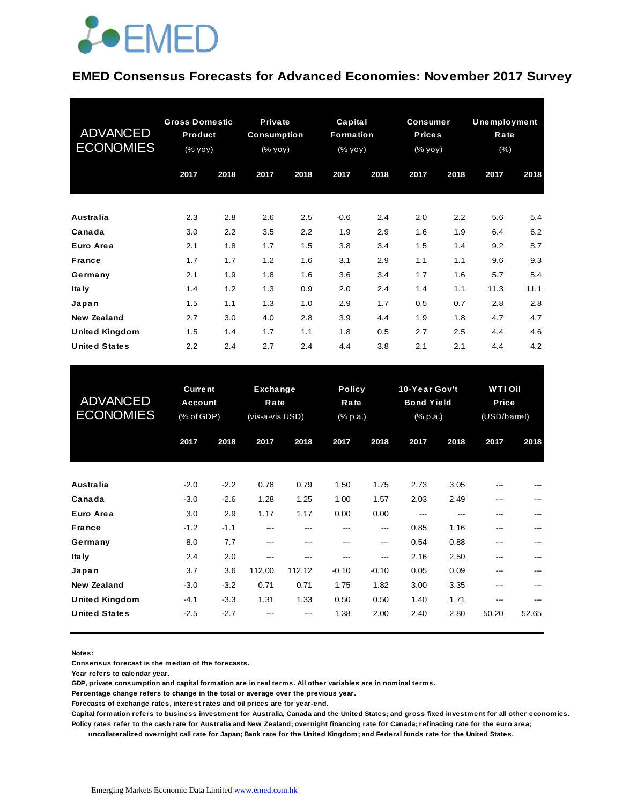#### **EMED Consensus Forecasts for Advanced Economies: November 2017 Survey**

| <b>ADVANCED</b><br><b>ECONOMIES</b> | <b>Gross Domestic</b><br>Product<br>(% yoy) |      | Private<br><b>Consumption</b><br>(% yoy) |      | Capital<br><b>Formation</b><br>(% yoy) |      | <b>Consumer</b><br><b>Prices</b><br>(% yoy) |      | <b>Unemployment</b><br>Rate<br>$(\%)$ |      |
|-------------------------------------|---------------------------------------------|------|------------------------------------------|------|----------------------------------------|------|---------------------------------------------|------|---------------------------------------|------|
|                                     | 2017                                        | 2018 | 2017                                     | 2018 | 2017                                   | 2018 | 2017                                        | 2018 | 2017                                  | 2018 |
| <b>Australia</b>                    | 2.3                                         | 2.8  | 2.6                                      | 2.5  | $-0.6$                                 | 2.4  | 2.0                                         | 2.2  | 5.6                                   | 5.4  |
| Canada                              | 3.0                                         | 2.2  | 3.5                                      | 2.2  | 1.9                                    | 2.9  | 1.6                                         | 1.9  | 6.4                                   | 6.2  |
| Euro Area                           | 2.1                                         | 1.8  | 1.7                                      | 1.5  | 3.8                                    | 3.4  | 1.5                                         | 1.4  | 9.2                                   | 8.7  |
| <b>France</b>                       | 1.7                                         | 1.7  | 1.2                                      | 1.6  | 3.1                                    | 2.9  | 1.1                                         | 1.1  | 9.6                                   | 9.3  |
| Germany                             | 2.1                                         | 1.9  | 1.8                                      | 1.6  | 3.6                                    | 3.4  | 1.7                                         | 1.6  | 5.7                                   | 5.4  |
| Ita Iy                              | 1.4                                         | 1.2  | 1.3                                      | 0.9  | 2.0                                    | 2.4  | 1.4                                         | 1.1  | 11.3                                  | 11.1 |
| Japan                               | 1.5                                         | 1.1  | 1.3                                      | 1.0  | 2.9                                    | 1.7  | 0.5                                         | 0.7  | 2.8                                   | 2.8  |
| <b>New Zealand</b>                  | 2.7                                         | 3.0  | 4.0                                      | 2.8  | 3.9                                    | 4.4  | 1.9                                         | 1.8  | 4.7                                   | 4.7  |
| <b>United Kingdom</b>               | 1.5                                         | 1.4  | 1.7                                      | 1.1  | 1.8                                    | 0.5  | 2.7                                         | 2.5  | 4.4                                   | 4.6  |
| <b>United States</b>                | 2.2                                         | 2.4  | 2.7                                      | 2.4  | 4.4                                    | 3.8  | 2.1                                         | 2.1  | 4.4                                   | 4.2  |

| <b>United States</b>                          | 2.2                                            | 2.4                  | 2.7                                        | 2.4               | 4.4                               | 3.8               | 2.1                                            | 2.1                  | 4.4                                    | 4.2   |
|-----------------------------------------------|------------------------------------------------|----------------------|--------------------------------------------|-------------------|-----------------------------------|-------------------|------------------------------------------------|----------------------|----------------------------------------|-------|
| <b>ADVANCED</b><br><b>ECONOMIES</b>           | <b>Current</b><br><b>Account</b><br>(% of GDP) |                      | <b>Exchange</b><br>Rate<br>(vis-a-vis USD) |                   | <b>Policy</b><br>Rate<br>(% p.a.) |                   | 10-Year Gov't<br><b>Bond Yield</b><br>(% p.a.) |                      | <b>WTIOII</b><br>Price<br>(USD/barrel) |       |
|                                               | 2017                                           | 2018                 | 2017                                       | 2018              | 2017                              | 2018              | 2017                                           | 2018                 | 2017                                   | 2018  |
| Australia                                     | $-2.0$                                         | $-2.2$               | 0.78                                       | 0.79              | 1.50                              | 1.75              | 2.73                                           | 3.05                 |                                        |       |
| Canada<br>Euro Area                           | $-3.0$<br>3.0                                  | $-2.6$<br>2.9        | 1.28<br>1.17                               | 1.25<br>1.17      | 1.00<br>0.00                      | 1.57<br>0.00      | 2.03<br>---                                    | 2.49                 |                                        |       |
| <b>France</b><br>Germany<br>Ita Iy            | $-1.2$<br>8.0<br>2.4                           | $-1.1$<br>7.7<br>2.0 | ---<br>---<br>---                          | ---<br>---<br>--- | ---<br>---                        | ---<br>---<br>--- | 0.85<br>0.54<br>2.16                           | 1.16<br>0.88<br>2.50 | ---<br>---                             |       |
| Japan<br><b>New Zealand</b>                   | 3.7<br>$-3.0$                                  | 3.6<br>$-3.2$        | 112.00<br>0.71                             | 112.12<br>0.71    | $-0.10$<br>1.75                   | $-0.10$<br>1.82   | 0.05<br>3.00                                   | 0.09<br>3.35         | ---<br>---                             |       |
| <b>United Kingdom</b><br><b>United States</b> | $-4.1$<br>$-2.5$                               | $-3.3$<br>$-2.7$     | 1.31                                       | 1.33              | 0.50<br>1.38                      | 0.50<br>2.00      | 1.40<br>2.40                                   | 1.71<br>2.80         | ---<br>50.20                           | 52.65 |

**Notes:** 

**Consensus forecast is the median of the forecasts.**

**Year refers to calendar year.**

**GDP, private consumption and capital formation are in real terms. All other variables are in nominal terms.**

**Percentage change refers to change in the total or average over the previous year.**

**Forecasts of exchange rates, interest rates and oil prices are for year-end.**

**Capital formation refers to business investment for Australia, Canada and the United States; and gross fixed investment for all other economies. Policy rates refer to the cash rate for Australia and New Zealand; overnight financing rate for Canada; refinacing rate for the euro area;** 

 **uncollateralized overnight call rate for Japan; Bank rate for the United Kingdom; and Federal funds rate for the United States.**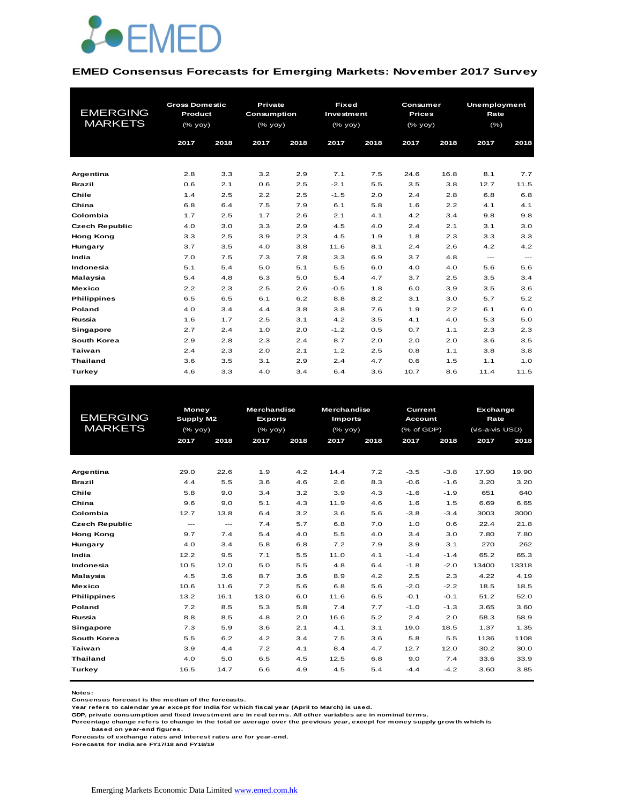

#### **EMED Consensus Forecasts for Emerging Markets: November 2017 Survey**

| <b>EMERGING</b><br><b>MARKETS</b> | <b>Gross Domestic</b><br>Product<br>(% yoy)<br>2017 | 2018       | Private<br><b>Consumption</b><br>(% yoy)<br>2017 | 2018       | <b>Fixed</b><br>Investment<br>(% yoy)<br>2017 | 2018 | Consumer<br><b>Prices</b><br>(% yoy)<br>2017 | 2018 | <b>Unemployment</b><br>Rate<br>(% )<br>2017 | 2018 |
|-----------------------------------|-----------------------------------------------------|------------|--------------------------------------------------|------------|-----------------------------------------------|------|----------------------------------------------|------|---------------------------------------------|------|
|                                   |                                                     |            | 3.2                                              |            | 7.1                                           | 7.5  |                                              | 16.8 | 8.1                                         | 7.7  |
| Argentina<br><b>Brazil</b>        | 2.8<br>0.6                                          | 3.3<br>2.1 | 0.6                                              | 2.9<br>2.5 | $-2.1$                                        | 5.5  | 24.6<br>3.5                                  | 3.8  | 12.7                                        | 11.5 |
| Chile                             | 1.4                                                 | 2.5        | 2.2                                              | 2.5        | $-1.5$                                        | 2.0  | 2.4                                          | 2.8  | 6.8                                         | 6.8  |
| China                             | 6.8                                                 | 6.4        | 7.5                                              | 7.9        | 6.1                                           | 5.8  | 1.6                                          | 2.2  | 4.1                                         | 4.1  |
| Colombia                          | 1.7                                                 | 2.5        | 1.7                                              | 2.6        | 2.1                                           | 4.1  | 4.2                                          | 3.4  | 9.8                                         | 9.8  |
| <b>Czech Republic</b>             | 4.0                                                 | 3.0        | 3.3                                              | 2.9        | 4.5                                           | 4.0  | 2.4                                          | 2.1  | 3.1                                         | 3.0  |
| <b>Hong Kong</b>                  | 3.3                                                 | 2.5        | 3.9                                              | 2.3        | 4.5                                           | 1.9  | 1.8                                          | 2.3  | 3.3                                         | 3.3  |
| Hungary                           | 3.7                                                 | 3.5        | 4.0                                              | 3.8        | 11.6                                          | 8.1  | 2.4                                          | 2.6  | 4.2                                         | 4.2  |
| India                             | 7.0                                                 | 7.5        | 7.3                                              | 7.8        | 3.3                                           | 6.9  | 3.7                                          | 4.8  | $\cdots$                                    | ---  |
| Indonesia                         | 5.1                                                 | 5.4        | 5.0                                              | 5.1        | 5.5                                           | 6.0  | 4.0                                          | 4.0  | 5.6                                         | 5.6  |
| Malaysia                          | 5.4                                                 | 4.8        | 6.3                                              | 5.0        | 5.4                                           | 4.7  | 3.7                                          | 2.5  | 3.5                                         | 3.4  |
| Mexico                            | 2.2                                                 | 2.3        | 2.5                                              | 2.6        | $-0.5$                                        | 1.8  | 6.0                                          | 3.9  | 3.5                                         | 3.6  |
| <b>Philippines</b>                | 6.5                                                 | 6.5        | 6.1                                              | 6.2        | 8.8                                           | 8.2  | 3.1                                          | 3.0  | 5.7                                         | 5.2  |
| Poland                            | 4.0                                                 | 3.4        | 4.4                                              | 3.8        | 3.8                                           | 7.6  | 1.9                                          | 2.2  | 6.1                                         | 6.0  |
| Russia                            | 1.6                                                 | 1.7        | 2.5                                              | 3.1        | 4.2                                           | 3.5  | 4.1                                          | 4.0  | 5.3                                         | 5.0  |
| <b>Singapore</b>                  | 2.7                                                 | 2.4        | 1.0                                              | 2.0        | $-1.2$                                        | 0.5  | 0.7                                          | 1.1  | 2.3                                         | 2.3  |
| South Korea                       | 2.9                                                 | 2.8        | 2.3                                              | 2.4        | 8.7                                           | 2.0  | 2.0                                          | 2.0  | 3.6                                         | 3.5  |
| Taiwan                            | 2.4                                                 | 2.3        | 2.0                                              | 2.1        | 1.2                                           | 2.5  | 0.8                                          | 1.1  | 3.8                                         | 3.8  |
| <b>Thailand</b>                   | 3.6                                                 | 3.5        | 3.1                                              | 2.9        | 2.4                                           | 4.7  | 0.6                                          | 1.5  | 1.1                                         | 1.0  |
| Turkey                            | 4.6                                                 | 3.3        | 4.0                                              | 3.4        | 6.4                                           | 3.6  | 10.7                                         | 8.6  | 11.4                                        | 11.5 |

| <b>EMERGING</b>       | Money<br><b>Supply M2</b> |         | <b>Merchandise</b><br><b>Exports</b> |         | <b>Merchandise</b><br><b>Imports</b> |      | <b>Current</b><br><b>Account</b> |        | <b>Exchange</b><br>Rate |       |  |
|-----------------------|---------------------------|---------|--------------------------------------|---------|--------------------------------------|------|----------------------------------|--------|-------------------------|-------|--|
| <b>MARKETS</b>        |                           | (% yoy) |                                      | (% yoy) | (% yoy)                              |      | (% of GDP)                       |        | (vis-a-vis USD)         |       |  |
|                       | 2017                      | 2018    | 2017                                 | 2018    | 2017                                 | 2018 | 2017                             | 2018   | 2017                    | 2018  |  |
|                       |                           |         |                                      |         |                                      |      |                                  |        |                         |       |  |
|                       |                           |         |                                      |         |                                      |      |                                  |        |                         |       |  |
| Argentina             | 29.0                      | 22.6    | 1.9                                  | 4.2     | 14.4                                 | 7.2  | $-3.5$                           | $-3.8$ | 17.90                   | 19.90 |  |
| <b>Brazil</b>         | 4.4                       | 5.5     | 3.6                                  | 4.6     | 2.6                                  | 8.3  | $-0.6$                           | $-1.6$ | 3.20                    | 3.20  |  |
| Chile                 | 5.8                       | 9.0     | 3.4                                  | 3.2     | 3.9                                  | 4.3  | $-1.6$                           | $-1.9$ | 651                     | 640   |  |
| China                 | 9.6                       | 9.0     | 5.1                                  | 4.3     | 11.9                                 | 4.6  | 1.6                              | 1.5    | 6.69                    | 6.65  |  |
| Colombia              | 12.7                      | 13.8    | 6.4                                  | 3.2     | 3.6                                  | 5.6  | $-3.8$                           | $-3.4$ | 3003                    | 3000  |  |
| <b>Czech Republic</b> | $---$                     | $---$   | 7.4                                  | 5.7     | 6.8                                  | 7.0  | 1.0                              | 0.6    | 22.4                    | 21.8  |  |
| <b>Hong Kong</b>      | 9.7                       | 7.4     | 5.4                                  | 4.0     | 5.5                                  | 4.0  | 3.4                              | 3.0    | 7.80                    | 7.80  |  |
| Hungary               | 4.0                       | 3.4     | 5.8                                  | 6.8     | 7.2                                  | 7.9  | 3.9                              | 3.1    | 270                     | 262   |  |
| India                 | 12.2                      | 9.5     | 7.1                                  | 5.5     | 11.0                                 | 4.1  | $-1.4$                           | $-1.4$ | 65.2                    | 65.3  |  |
| Indonesia             | 10.5                      | 12.0    | 5.0                                  | 5.5     | 4.8                                  | 6.4  | $-1.8$                           | $-2.0$ | 13400                   | 13318 |  |
| Malaysia              | 4.5                       | 3.6     | 8.7                                  | 3.6     | 8.9                                  | 4.2  | 2.5                              | 2.3    | 4.22                    | 4.19  |  |
| <b>Mexico</b>         | 10.6                      | 11.6    | 7.2                                  | 5.6     | 6.8                                  | 5.6  | $-2.0$                           | $-2.2$ | 18.5                    | 18.5  |  |
| <b>Philippines</b>    | 13.2                      | 16.1    | 13.0                                 | 6.0     | 11.6                                 | 6.5  | $-0.1$                           | $-0.1$ | 51.2                    | 52.0  |  |
| Poland                | 7.2                       | 8.5     | 5.3                                  | 5.8     | 7.4                                  | 7.7  | $-1.0$                           | $-1.3$ | 3.65                    | 3.60  |  |
| Russia                | 8.8                       | 8.5     | 4.8                                  | 2.0     | 16.6                                 | 5.2  | 2.4                              | 2.0    | 58.3                    | 58.9  |  |
| Singapore             | 7.3                       | 5.9     | 3.6                                  | 2.1     | 4.1                                  | 3.1  | 19.0                             | 18.5   | 1.37                    | 1.35  |  |
| South Korea           | 5.5                       | 6.2     | 4.2                                  | 3.4     | 7.5                                  | 3.6  | 5.8                              | 5.5    | 1136                    | 1108  |  |
| Taiwan                | 3.9                       | 4.4     | 7.2                                  | 4.1     | 8.4                                  | 4.7  | 12.7                             | 12.0   | 30.2                    | 30.0  |  |
| <b>Thailand</b>       | 4.0                       | 5.0     | 6.5                                  | 4.5     | 12.5                                 | 6.8  | 9.0                              | 7.4    | 33.6                    | 33.9  |  |
| Turkey                | 16.5                      | 14.7    | 6.6                                  | 4.9     | 4.5                                  | 5.4  | $-4.4$                           | $-4.2$ | 3.60                    | 3.85  |  |

**Notes:** 

**Consensus forecast is the median of the forecasts.**

**Year refers to calendar year except for India for which fiscal year (April to March) is used. GDP, private consumption and fixed investment are in real terms. All other variables are in nominal terms.**

**Percentage change refers to change in the total or average over the previous year, except for money supply growth which is based on year-end figures.**

**Forecasts of exchange rates and interest rates are for year-end.**

**Forecasts for India are FY17/18 and FY18/19**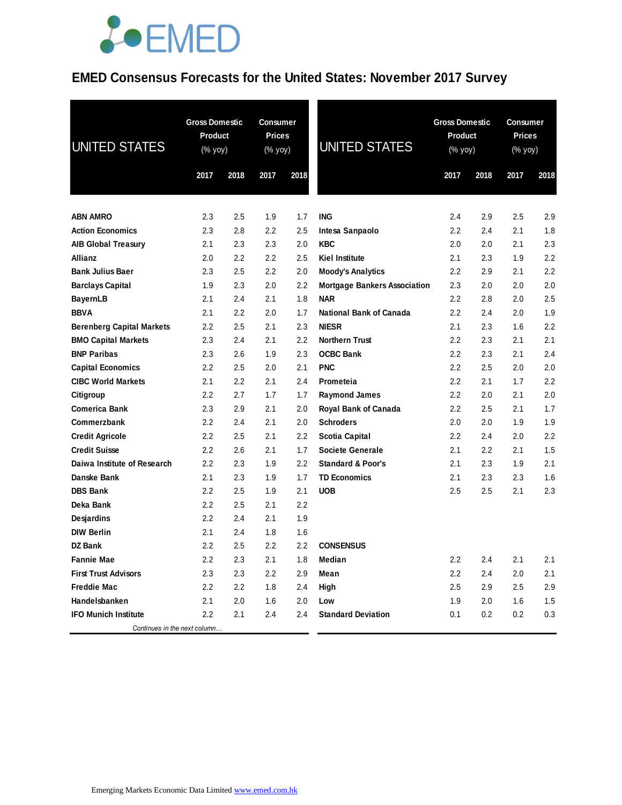### **EMED Consensus Forecasts for the United States: November 2017 Survey**

| UNITED STATES                    | <b>Gross Domestic</b><br>Product<br>$(% \mathsf{Y}^{\prime }\mathsf{Y}^{\prime })$ (% $\mathsf{Y}^{\prime }\mathsf{Y}^{\prime }\mathsf{Y}^{\prime })$ |      | <b>Consumer</b><br><b>Prices</b><br>(% yoy) |       | <b>UNITED STATES</b>                | <b>Gross Domestic</b><br><b>Product</b><br>(% yoy) |         | Consumer<br><b>Prices</b><br>$(% \mathsf{Y}^{\prime }\mathsf{Y}^{\prime }\mathsf{Y}^{\prime })$ |      |
|----------------------------------|-------------------------------------------------------------------------------------------------------------------------------------------------------|------|---------------------------------------------|-------|-------------------------------------|----------------------------------------------------|---------|-------------------------------------------------------------------------------------------------|------|
|                                  | 2017                                                                                                                                                  | 2018 | 2017                                        | 2018  |                                     | 2017                                               | 2018    | 2017                                                                                            | 2018 |
| <b>ABN AMRO</b>                  | 2.3                                                                                                                                                   | 2.5  | 1.9                                         | 1.7   | <b>ING</b>                          | 2.4                                                | 2.9     | 2.5                                                                                             | 2.9  |
| <b>Action Economics</b>          | 2.3                                                                                                                                                   | 2.8  | $2.2\,$                                     | 2.5   | Intesa Sanpaolo                     | $2.2\,$                                            | 2.4     | 2.1                                                                                             | 1.8  |
| <b>AIB Global Treasury</b>       | 2.1                                                                                                                                                   | 2.3  | 2.3                                         | 2.0   | <b>KBC</b>                          | 2.0                                                | 2.0     | 2.1                                                                                             | 2.3  |
| <b>Allianz</b>                   | 2.0                                                                                                                                                   | 2.2  | $2.2\,$                                     | 2.5   | <b>Kiel Institute</b>               | 2.1                                                | 2.3     | 1.9                                                                                             | 2.2  |
| <b>Bank Julius Baer</b>          | 2.3                                                                                                                                                   | 2.5  | 2.2                                         | 2.0   | <b>Moody's Analytics</b>            | 2.2                                                | 2.9     | 2.1                                                                                             | 2.2  |
| <b>Barclays Capital</b>          | 1.9                                                                                                                                                   | 2.3  | 2.0                                         | 2.2   | <b>Mortgage Bankers Association</b> | 2.3                                                | 2.0     | 2.0                                                                                             | 2.0  |
| <b>BayernLB</b>                  | 2.1                                                                                                                                                   | 2.4  | 2.1                                         | 1.8   | <b>NAR</b>                          | 2.2                                                | 2.8     | 2.0                                                                                             | 2.5  |
| <b>BBVA</b>                      | 2.1                                                                                                                                                   | 2.2  | 2.0                                         | 1.7   | <b>National Bank of Canada</b>      | 2.2                                                | 2.4     | 2.0                                                                                             | 1.9  |
| <b>Berenberg Capital Markets</b> | 2.2                                                                                                                                                   | 2.5  | 2.1                                         | 2.3   | <b>NIESR</b>                        | 2.1                                                | 2.3     | 1.6                                                                                             | 2.2  |
| <b>BMO Capital Markets</b>       | 2.3                                                                                                                                                   | 2.4  | 2.1                                         | 2.2   | <b>Northern Trust</b>               | 2.2                                                | 2.3     | 2.1                                                                                             | 2.1  |
| <b>BNP Paribas</b>               | 2.3                                                                                                                                                   | 2.6  | 1.9                                         | 2.3   | <b>OCBC Bank</b>                    | 2.2                                                | 2.3     | 2.1                                                                                             | 2.4  |
| <b>Capital Economics</b>         | 2.2                                                                                                                                                   | 2.5  | 2.0                                         | 2.1   | <b>PNC</b>                          | 2.2                                                | 2.5     | 2.0                                                                                             | 2.0  |
| <b>CIBC World Markets</b>        | 2.1                                                                                                                                                   | 2.2  | 2.1                                         | 2.4   | Prometeia                           | 2.2                                                | 2.1     | 1.7                                                                                             | 2.2  |
| Citigroup                        | 2.2                                                                                                                                                   | 2.7  | 1.7                                         | 1.7   | <b>Raymond James</b>                | 2.2                                                | 2.0     | 2.1                                                                                             | 2.0  |
| <b>Comerica Bank</b>             | 2.3                                                                                                                                                   | 2.9  | 2.1                                         | 2.0   | <b>Royal Bank of Canada</b>         | 2.2                                                | 2.5     | 2.1                                                                                             | 1.7  |
| Commerzbank                      | 2.2                                                                                                                                                   | 2.4  | 2.1                                         | 2.0   | <b>Schroders</b>                    | 2.0                                                | 2.0     | 1.9                                                                                             | 1.9  |
| <b>Credit Agricole</b>           | 2.2                                                                                                                                                   | 2.5  | 2.1                                         | 2.2   | <b>Scotia Capital</b>               | 2.2                                                | 2.4     | 2.0                                                                                             | 2.2  |
| <b>Credit Suisse</b>             | 2.2                                                                                                                                                   | 2.6  | 2.1                                         | 1.7   | <b>Societe Generale</b>             | 2.1                                                | $2.2\,$ | 2.1                                                                                             | 1.5  |
| Daiwa Institute of Research      | 2.2                                                                                                                                                   | 2.3  | 1.9                                         | 2.2   | <b>Standard &amp; Poor's</b>        | 2.1                                                | 2.3     | 1.9                                                                                             | 2.1  |
| Danske Bank                      | 2.1                                                                                                                                                   | 2.3  | 1.9                                         | 1.7   | <b>TD Economics</b>                 | 2.1                                                | 2.3     | 2.3                                                                                             | 1.6  |
| <b>DBS Bank</b>                  | 2.2                                                                                                                                                   | 2.5  | 1.9                                         | 2.1   | <b>UOB</b>                          | 2.5                                                | 2.5     | 2.1                                                                                             | 2.3  |
| Deka Bank                        | 2.2                                                                                                                                                   | 2.5  | 2.1                                         | 2.2   |                                     |                                                    |         |                                                                                                 |      |
| <b>Desjardins</b>                | 2.2                                                                                                                                                   | 2.4  | 2.1                                         | 1.9   |                                     |                                                    |         |                                                                                                 |      |
| <b>DIW Berlin</b>                | 2.1                                                                                                                                                   | 2.4  | 1.8                                         | 1.6   |                                     |                                                    |         |                                                                                                 |      |
| <b>DZ Bank</b>                   | 2.2                                                                                                                                                   | 2.5  | 2.2                                         | 2.2   | <b>CONSENSUS</b>                    |                                                    |         |                                                                                                 |      |
| <b>Fannie Mae</b>                | 2.2                                                                                                                                                   | 2.3  | 2.1                                         | $1.8$ | Median                              | 2.2                                                | 2.4     | 2.1                                                                                             | 2.1  |
| <b>First Trust Advisors</b>      | 2.3                                                                                                                                                   | 2.3  | 2.2                                         | 2.9   | Mean                                | 2.2                                                | 2.4     | 2.0                                                                                             | 2.1  |
| <b>Freddie Mac</b>               | 2.2                                                                                                                                                   | 2.2  | 1.8                                         | 2.4   | High                                | 2.5                                                | 2.9     | 2.5                                                                                             | 2.9  |
| Handelsbanken                    | 2.1                                                                                                                                                   | 2.0  | 1.6                                         | 2.0   | Low                                 | 1.9                                                | 2.0     | 1.6                                                                                             | 1.5  |
| <b>IFO Munich Institute</b>      | 2.2                                                                                                                                                   | 2.1  | 2.4                                         | 2.4   | <b>Standard Deviation</b>           | 0.1                                                | 0.2     | 0.2                                                                                             | 0.3  |
| Continues in the next column     |                                                                                                                                                       |      |                                             |       |                                     |                                                    |         |                                                                                                 |      |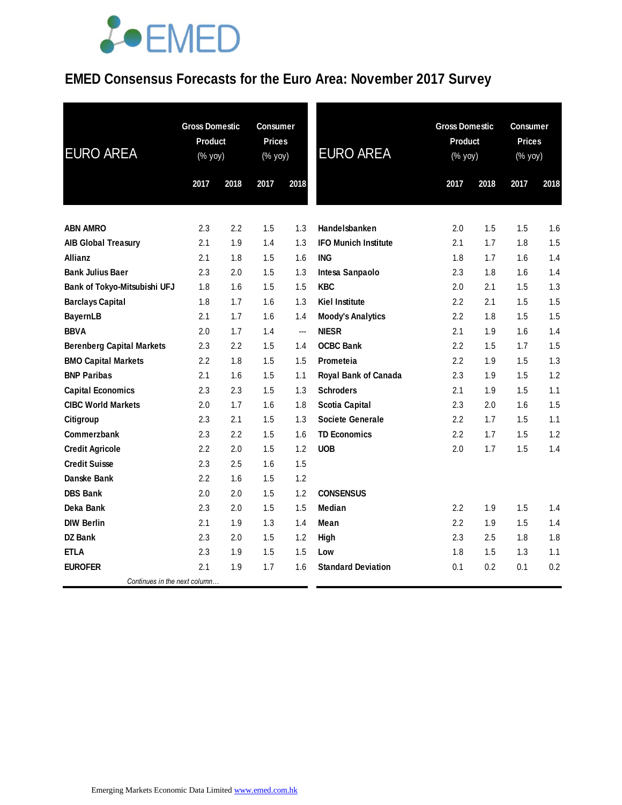### **EMED Consensus Forecasts for the Euro Area: November 2017 Survey**

| <b>EURO AREA</b>                 | <b>Gross Domestic</b><br>Product<br>$(% \mathsf{Y}^{\prime }\mathsf{Y}^{\prime }\mathsf{Y}^{\prime })$ |      | <b>Consumer</b><br><b>Prices</b><br>(% yoy) |      | <b>EURO AREA</b>            | <b>Gross Domestic</b><br>Product<br>$(% \mathsf{Y}^{\prime }\mathsf{Y}^{\prime })$ (% $\mathsf{Y}^{\prime }\mathsf{Y}^{\prime }\mathsf{Y}^{\prime })$ |      | <b>Consumer</b><br><b>Prices</b><br>(% yoy) |      |
|----------------------------------|--------------------------------------------------------------------------------------------------------|------|---------------------------------------------|------|-----------------------------|-------------------------------------------------------------------------------------------------------------------------------------------------------|------|---------------------------------------------|------|
|                                  | 2017                                                                                                   | 2018 | 2017                                        | 2018 |                             | 2017                                                                                                                                                  | 2018 | 2017                                        | 2018 |
| <b>ABN AMRO</b>                  | 2.3                                                                                                    | 2.2  | 1.5                                         | 1.3  | Handelsbanken               | 2.0                                                                                                                                                   | 1.5  | 1.5                                         | 1.6  |
| <b>AIB Global Treasury</b>       | 2.1                                                                                                    | 1.9  | 1.4                                         | 1.3  | <b>IFO Munich Institute</b> | 2.1                                                                                                                                                   | 1.7  | 1.8                                         | 1.5  |
| Allianz                          | 2.1                                                                                                    | 1.8  | 1.5                                         | 1.6  | <b>ING</b>                  | 1.8                                                                                                                                                   | 1.7  | 1.6                                         | 1.4  |
| <b>Bank Julius Baer</b>          | 2.3                                                                                                    | 2.0  | 1.5                                         | 1.3  | Intesa Sanpaolo             | 2.3                                                                                                                                                   | 1.8  | 1.6                                         | 1.4  |
| Bank of Tokyo-Mitsubishi UFJ     | 1.8                                                                                                    | 1.6  | 1.5                                         | 1.5  | <b>KBC</b>                  | 2.0                                                                                                                                                   | 2.1  | 1.5                                         | 1.3  |
| <b>Barclays Capital</b>          | 1.8                                                                                                    | 1.7  | 1.6                                         | 1.3  | <b>Kiel Institute</b>       | $2.2\,$                                                                                                                                               | 2.1  | 1.5                                         | 1.5  |
| <b>BayernLB</b>                  | 2.1                                                                                                    | 1.7  | 1.6                                         | 1.4  | <b>Moody's Analytics</b>    | 2.2                                                                                                                                                   | 1.8  | 1.5                                         | 1.5  |
| <b>BBVA</b>                      | 2.0                                                                                                    | 1.7  | 1.4                                         | ---  | <b>NIESR</b>                | 2.1                                                                                                                                                   | 1.9  | 1.6                                         | 1.4  |
| <b>Berenberg Capital Markets</b> | 2.3                                                                                                    | 2.2  | 1.5                                         | 1.4  | <b>OCBC Bank</b>            | 2.2                                                                                                                                                   | 1.5  | 1.7                                         | 1.5  |
| <b>BMO Capital Markets</b>       | 2.2                                                                                                    | 1.8  | 1.5                                         | 1.5  | <b>Prometeia</b>            | 2.2                                                                                                                                                   | 1.9  | 1.5                                         | 1.3  |
| <b>BNP Paribas</b>               | 2.1                                                                                                    | 1.6  | 1.5                                         | 1.1  | <b>Royal Bank of Canada</b> | 2.3                                                                                                                                                   | 1.9  | 1.5                                         | 1.2  |
| <b>Capital Economics</b>         | 2.3                                                                                                    | 2.3  | 1.5                                         | 1.3  | <b>Schroders</b>            | 2.1                                                                                                                                                   | 1.9  | 1.5                                         | 1.1  |
| <b>CIBC World Markets</b>        | 2.0                                                                                                    | 1.7  | 1.6                                         | 1.8  | <b>Scotia Capital</b>       | 2.3                                                                                                                                                   | 2.0  | 1.6                                         | 1.5  |
| Citigroup                        | 2.3                                                                                                    | 2.1  | 1.5                                         | 1.3  | <b>Societe Generale</b>     | $2.2\,$                                                                                                                                               | 1.7  | 1.5                                         | 1.1  |
| Commerzbank                      | 2.3                                                                                                    | 2.2  | 1.5                                         | 1.6  | <b>TD Economics</b>         | 2.2                                                                                                                                                   | 1.7  | 1.5                                         | 1.2  |
| <b>Credit Agricole</b>           | 2.2                                                                                                    | 2.0  | 1.5                                         | 1.2  | <b>UOB</b>                  | 2.0                                                                                                                                                   | 1.7  | 1.5                                         | 1.4  |
| <b>Credit Suisse</b>             | 2.3                                                                                                    | 2.5  | 1.6                                         | 1.5  |                             |                                                                                                                                                       |      |                                             |      |
| Danske Bank                      | 2.2                                                                                                    | 1.6  | 1.5                                         | 1.2  |                             |                                                                                                                                                       |      |                                             |      |
| <b>DBS Bank</b>                  | 2.0                                                                                                    | 2.0  | 1.5                                         | 1.2  | <b>CONSENSUS</b>            |                                                                                                                                                       |      |                                             |      |
| Deka Bank                        | 2.3                                                                                                    | 2.0  | 1.5                                         | 1.5  | <b>Median</b>               | 2.2                                                                                                                                                   | 1.9  | 1.5                                         | 1.4  |
| <b>DIW Berlin</b>                | 2.1                                                                                                    | 1.9  | 1.3                                         | 1.4  | Mean                        | 2.2                                                                                                                                                   | 1.9  | 1.5                                         | 1.4  |
| <b>DZ Bank</b>                   | 2.3                                                                                                    | 2.0  | 1.5                                         | 1.2  | High                        | 2.3                                                                                                                                                   | 2.5  | 1.8                                         | 1.8  |
| <b>ETLA</b>                      | 2.3                                                                                                    | 1.9  | 1.5                                         | 1.5  | Low                         | 1.8                                                                                                                                                   | 1.5  | 1.3                                         | 1.1  |
| <b>EUROFER</b>                   | 2.1                                                                                                    | 1.9  | 1.7                                         | 1.6  | <b>Standard Deviation</b>   | 0.1                                                                                                                                                   | 0.2  | 0.1                                         | 0.2  |
| Continues in the next column     |                                                                                                        |      |                                             |      |                             |                                                                                                                                                       |      |                                             |      |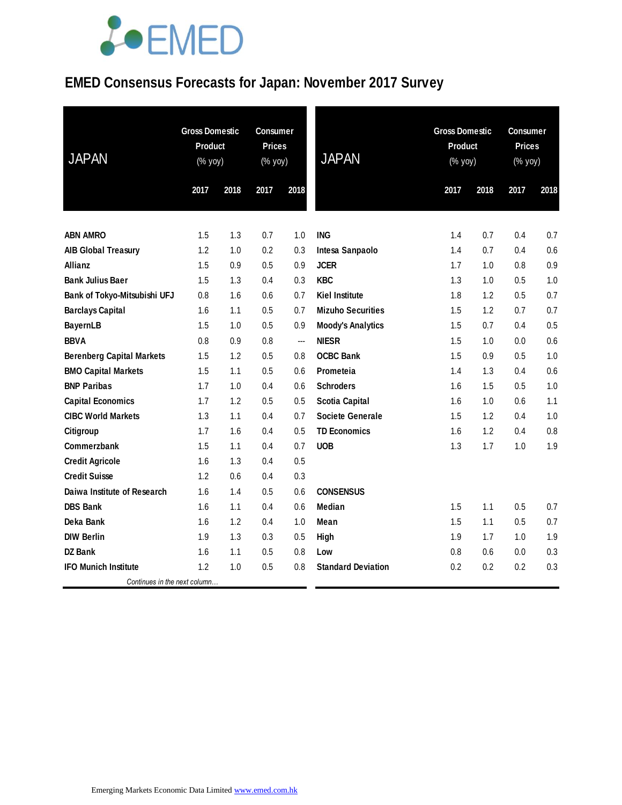### **EMED Consensus Forecasts for Japan: November 2017 Survey**

| <b>JAPAN</b>                     | <b>Gross Domestic</b><br><b>Product</b><br>(% yoy) |      | <b>Consumer</b><br><b>Prices</b><br>(% yoy) |               | <b>JAPAN</b>              | <b>Gross Domestic</b><br><b>Product</b><br>(% yoy) |      |      | <b>Consumer</b><br><b>Prices</b><br>(% yoy) |  |
|----------------------------------|----------------------------------------------------|------|---------------------------------------------|---------------|---------------------------|----------------------------------------------------|------|------|---------------------------------------------|--|
|                                  | 2017                                               | 2018 | 2017                                        | 2018          |                           | 2017                                               | 2018 | 2017 | 2018                                        |  |
| <b>ABN AMRO</b>                  | 1.5                                                | 1.3  | 0.7                                         | 1.0           | <b>ING</b>                | 1.4                                                | 0.7  | 0.4  | 0.7                                         |  |
| <b>AIB Global Treasury</b>       | 1.2                                                | 1.0  | 0.2                                         | 0.3           | Intesa Sanpaolo           | 1.4                                                | 0.7  | 0.4  | 0.6                                         |  |
| Allianz                          | 1.5                                                | 0.9  | 0.5                                         | 0.9           | <b>JCER</b>               | 1.7                                                | 1.0  | 0.8  | 0.9                                         |  |
| <b>Bank Julius Baer</b>          | 1.5                                                | 1.3  | 0.4                                         | 0.3           | <b>KBC</b>                | 1.3                                                | 1.0  | 0.5  | 1.0                                         |  |
| Bank of Tokyo-Mitsubishi UFJ     | 0.8                                                | 1.6  | 0.6                                         | 0.7           | <b>Kiel Institute</b>     | 1.8                                                | 1.2  | 0.5  | 0.7                                         |  |
| <b>Barclays Capital</b>          | 1.6                                                | 1.1  | 0.5                                         | 0.7           | <b>Mizuho Securities</b>  | 1.5                                                | 1.2  | 0.7  | 0.7                                         |  |
| <b>BayernLB</b>                  | 1.5                                                | 1.0  | 0.5                                         | 0.9           | <b>Moody's Analytics</b>  | 1.5                                                | 0.7  | 0.4  | 0.5                                         |  |
| <b>BBVA</b>                      | 0.8                                                | 0.9  | 0.8                                         | $\frac{1}{2}$ | <b>NIESR</b>              | 1.5                                                | 1.0  | 0.0  | 0.6                                         |  |
| <b>Berenberg Capital Markets</b> | 1.5                                                | 1.2  | 0.5                                         | 0.8           | <b>OCBC Bank</b>          | 1.5                                                | 0.9  | 0.5  | 1.0                                         |  |
| <b>BMO Capital Markets</b>       | 1.5                                                | 1.1  | 0.5                                         | 0.6           | Prometeia                 | 1.4                                                | 1.3  | 0.4  | 0.6                                         |  |
| <b>BNP Paribas</b>               | 1.7                                                | 1.0  | 0.4                                         | 0.6           | <b>Schroders</b>          | 1.6                                                | 1.5  | 0.5  | 1.0                                         |  |
| <b>Capital Economics</b>         | 1.7                                                | 1.2  | 0.5                                         | 0.5           | <b>Scotia Capital</b>     | 1.6                                                | 1.0  | 0.6  | 1.1                                         |  |
| <b>CIBC World Markets</b>        | 1.3                                                | 1.1  | 0.4                                         | 0.7           | <b>Societe Generale</b>   | 1.5                                                | 1.2  | 0.4  | 1.0                                         |  |
| Citigroup                        | 1.7                                                | 1.6  | 0.4                                         | 0.5           | <b>TD Economics</b>       | 1.6                                                | 1.2  | 0.4  | 0.8                                         |  |
| Commerzbank                      | 1.5                                                | 1.1  | 0.4                                         | 0.7           | <b>UOB</b>                | 1.3                                                | 1.7  | 1.0  | 1.9                                         |  |
| <b>Credit Agricole</b>           | 1.6                                                | 1.3  | 0.4                                         | 0.5           |                           |                                                    |      |      |                                             |  |
| <b>Credit Suisse</b>             | 1.2                                                | 0.6  | 0.4                                         | 0.3           |                           |                                                    |      |      |                                             |  |
| Daiwa Institute of Research      | 1.6                                                | 1.4  | 0.5                                         | 0.6           | <b>CONSENSUS</b>          |                                                    |      |      |                                             |  |
| <b>DBS Bank</b>                  | 1.6                                                | 1.1  | 0.4                                         | 0.6           | Median                    | 1.5                                                | 1.1  | 0.5  | 0.7                                         |  |
| Deka Bank                        | 1.6                                                | 1.2  | 0.4                                         | 1.0           | Mean                      | 1.5                                                | 1.1  | 0.5  | 0.7                                         |  |
| <b>DIW Berlin</b>                | 1.9                                                | 1.3  | 0.3                                         | 0.5           | High                      | 1.9                                                | 1.7  | 1.0  | 1.9                                         |  |
| <b>DZ Bank</b>                   | 1.6                                                | 1.1  | 0.5                                         | 0.8           | Low                       | 0.8                                                | 0.6  | 0.0  | 0.3                                         |  |
| <b>IFO Munich Institute</b>      | 1.2                                                | 1.0  | 0.5                                         | 0.8           | <b>Standard Deviation</b> | 0.2                                                | 0.2  | 0.2  | 0.3                                         |  |
| Continues in the next column     |                                                    |      |                                             |               |                           |                                                    |      |      |                                             |  |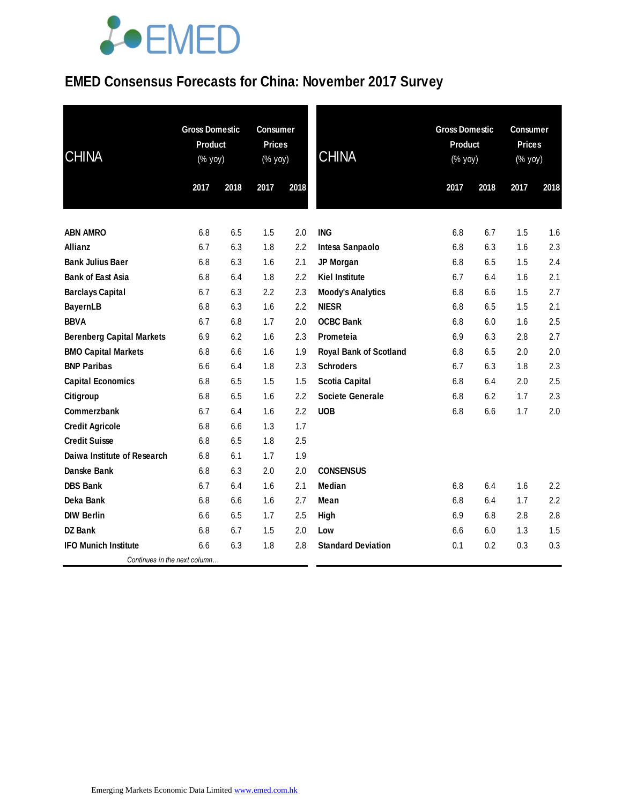### **EMED Consensus Forecasts for China: November 2017 Survey**

| <b>CHINA</b>                     | <b>Gross Domestic</b><br>Product<br>(% yoy) |      | <b>Consumer</b><br><b>Prices</b><br>(% yoy) |      | <b>CHINA</b>                  | <b>Gross Domestic</b><br><b>Product</b><br>(% yoy) |      | <b>Consumer</b><br><b>Prices</b><br>(% yoy) |      |
|----------------------------------|---------------------------------------------|------|---------------------------------------------|------|-------------------------------|----------------------------------------------------|------|---------------------------------------------|------|
|                                  | 2017                                        | 2018 | 2017                                        | 2018 |                               | 2017                                               | 2018 | 2017                                        | 2018 |
| <b>ABN AMRO</b>                  | 6.8                                         | 6.5  | 1.5                                         | 2.0  | <b>ING</b>                    | 6.8                                                | 6.7  | 1.5                                         | 1.6  |
| Allianz                          | 6.7                                         | 6.3  | 1.8                                         | 2.2  | Intesa Sanpaolo               | 6.8                                                | 6.3  | 1.6                                         | 2.3  |
| <b>Bank Julius Baer</b>          | 6.8                                         | 6.3  | 1.6                                         | 2.1  | JP Morgan                     | 6.8                                                | 6.5  | 1.5                                         | 2.4  |
| <b>Bank of East Asia</b>         | 6.8                                         | 6.4  | 1.8                                         | 2.2  | <b>Kiel Institute</b>         | 6.7                                                | 6.4  | 1.6                                         | 2.1  |
| <b>Barclays Capital</b>          | 6.7                                         | 6.3  | 2.2                                         | 2.3  | <b>Moody's Analytics</b>      | 6.8                                                | 6.6  | 1.5                                         | 2.7  |
| <b>BayernLB</b>                  | 6.8                                         | 6.3  | 1.6                                         | 2.2  | <b>NIESR</b>                  | 6.8                                                | 6.5  | 1.5                                         | 2.1  |
| <b>BBVA</b>                      | 6.7                                         | 6.8  | 1.7                                         | 2.0  | <b>OCBC Bank</b>              | 6.8                                                | 6.0  | 1.6                                         | 2.5  |
| <b>Berenberg Capital Markets</b> | 6.9                                         | 6.2  | 1.6                                         | 2.3  | Prometeia                     | 6.9                                                | 6.3  | 2.8                                         | 2.7  |
| <b>BMO Capital Markets</b>       | 6.8                                         | 6.6  | 1.6                                         | 1.9  | <b>Royal Bank of Scotland</b> | 6.8                                                | 6.5  | 2.0                                         | 2.0  |
| <b>BNP Paribas</b>               | 6.6                                         | 6.4  | 1.8                                         | 2.3  | <b>Schroders</b>              | 6.7                                                | 6.3  | 1.8                                         | 2.3  |
| <b>Capital Economics</b>         | 6.8                                         | 6.5  | 1.5                                         | 1.5  | <b>Scotia Capital</b>         | 6.8                                                | 6.4  | 2.0                                         | 2.5  |
| Citigroup                        | 6.8                                         | 6.5  | 1.6                                         | 2.2  | <b>Societe Generale</b>       | 6.8                                                | 6.2  | 1.7                                         | 2.3  |
| Commerzbank                      | 6.7                                         | 6.4  | 1.6                                         | 2.2  | <b>UOB</b>                    | 6.8                                                | 6.6  | 1.7                                         | 2.0  |
| <b>Credit Agricole</b>           | 6.8                                         | 6.6  | 1.3                                         | 1.7  |                               |                                                    |      |                                             |      |
| <b>Credit Suisse</b>             | 6.8                                         | 6.5  | 1.8                                         | 2.5  |                               |                                                    |      |                                             |      |
| Daiwa Institute of Research      | 6.8                                         | 6.1  | 1.7                                         | 1.9  |                               |                                                    |      |                                             |      |
| Danske Bank                      | 6.8                                         | 6.3  | 2.0                                         | 2.0  | <b>CONSENSUS</b>              |                                                    |      |                                             |      |
| <b>DBS Bank</b>                  | 6.7                                         | 6.4  | 1.6                                         | 2.1  | Median                        | 6.8                                                | 6.4  | 1.6                                         | 2.2  |
| Deka Bank                        | 6.8                                         | 6.6  | 1.6                                         | 2.7  | Mean                          | 6.8                                                | 6.4  | 1.7                                         | 2.2  |
| <b>DIW Berlin</b>                | 6.6                                         | 6.5  | 1.7                                         | 2.5  | High                          | 6.9                                                | 6.8  | 2.8                                         | 2.8  |
| <b>DZ Bank</b>                   | 6.8                                         | 6.7  | 1.5                                         | 2.0  | Low                           | 6.6                                                | 6.0  | 1.3                                         | 1.5  |
| <b>IFO Munich Institute</b>      | 6.6                                         | 6.3  | 1.8                                         | 2.8  | <b>Standard Deviation</b>     | 0.1                                                | 0.2  | 0.3                                         | 0.3  |
| Continues in the next column     |                                             |      |                                             |      |                               |                                                    |      |                                             |      |